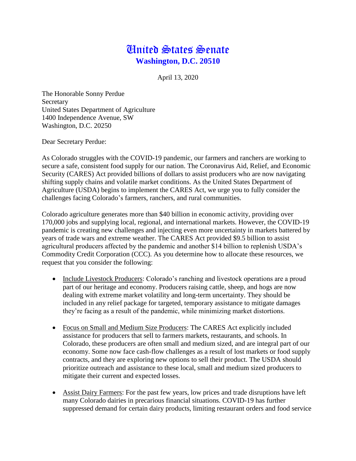## United States Senate **Washington, D.C. 20510**

April 13, 2020

The Honorable Sonny Perdue Secretary United States Department of Agriculture 1400 Independence Avenue, SW Washington, D.C. 20250

Dear Secretary Perdue:

As Colorado struggles with the COVID-19 pandemic, our farmers and ranchers are working to secure a safe, consistent food supply for our nation. The Coronavirus Aid, Relief, and Economic Security (CARES) Act provided billions of dollars to assist producers who are now navigating shifting supply chains and volatile market conditions. As the United States Department of Agriculture (USDA) begins to implement the CARES Act, we urge you to fully consider the challenges facing Colorado's farmers, ranchers, and rural communities.

Colorado agriculture generates more than \$40 billion in economic activity, providing over 170,000 jobs and supplying local, regional, and international markets. However, the COVID-19 pandemic is creating new challenges and injecting even more uncertainty in markets battered by years of trade wars and extreme weather. The CARES Act provided \$9.5 billion to assist agricultural producers affected by the pandemic and another \$14 billion to replenish USDA's Commodity Credit Corporation (CCC). As you determine how to allocate these resources, we request that you consider the following:

- Include Livestock Producers: Colorado's ranching and livestock operations are a proud part of our heritage and economy. Producers raising cattle, sheep, and hogs are now dealing with extreme market volatility and long-term uncertainty. They should be included in any relief package for targeted, temporary assistance to mitigate damages they're facing as a result of the pandemic, while minimizing market distortions.
- Focus on Small and Medium Size Producers: The CARES Act explicitly included assistance for producers that sell to farmers markets, restaurants, and schools. In Colorado, these producers are often small and medium sized, and are integral part of our economy. Some now face cash-flow challenges as a result of lost markets or food supply contracts, and they are exploring new options to sell their product. The USDA should prioritize outreach and assistance to these local, small and medium sized producers to mitigate their current and expected losses.
- Assist Dairy Farmers: For the past few years, low prices and trade disruptions have left many Colorado dairies in precarious financial situations. COVID-19 has further suppressed demand for certain dairy products, limiting restaurant orders and food service